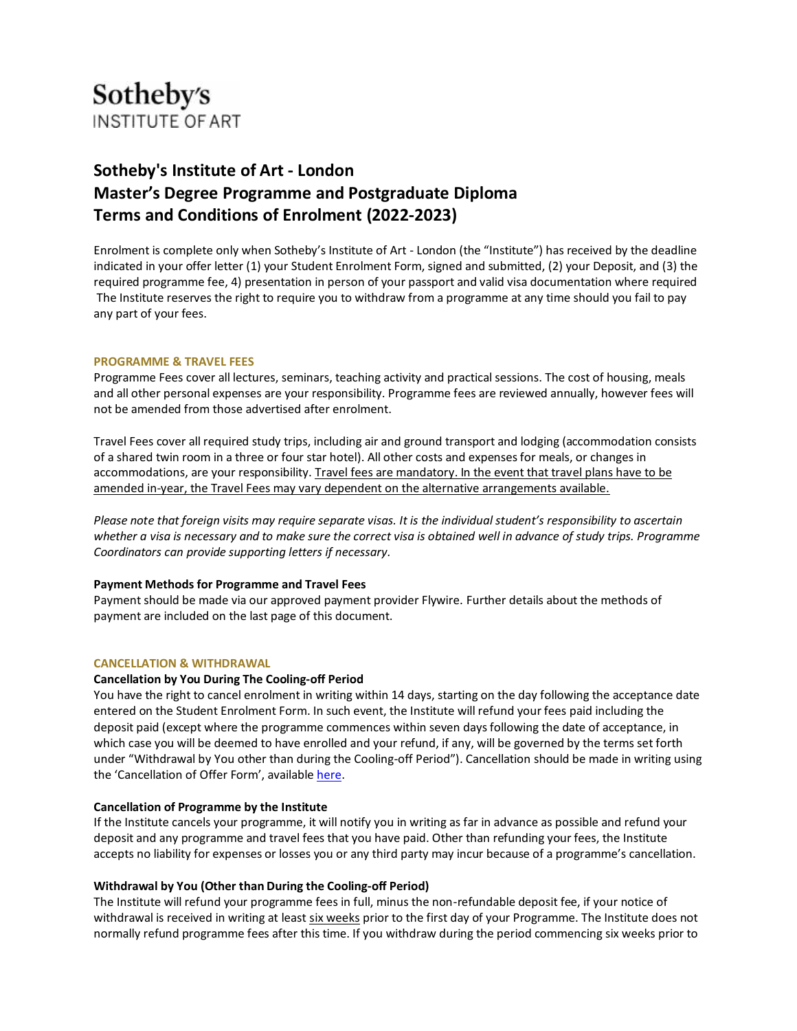

# **Sotheby's Institute of Art - London Master's Degree Programme and Postgraduate Diploma Terms and Conditions of Enrolment (2022-2023)**

Enrolment is complete only when Sotheby's Institute of Art - London (the "Institute") has received by the deadline indicated in your offer letter (1) your Student Enrolment Form, signed and submitted, (2) your Deposit, and (3) the required programme fee, 4) presentation in person of your passport and valid visa documentation where required The Institute reserves the right to require you to withdraw from a programme at any time should you fail to pay any part of your fees.

## **PROGRAMME & TRAVEL FEES**

Programme Fees cover all lectures, seminars, teaching activity and practical sessions. The cost of housing, meals and all other personal expenses are your responsibility. Programme fees are reviewed annually, however fees will not be amended from those advertised after enrolment.

Travel Fees cover all required study trips, including air and ground transport and lodging (accommodation consists of a shared twin room in a three or four star hotel). All other costs and expenses for meals, or changes in accommodations, are your responsibility. Travel fees are mandatory. In the event that travel plans have to be amended in-year, the Travel Fees may vary dependent on the alternative arrangements available.

*Please note that foreign visits may require separate visas. It is the individual student's responsibility to ascertain whether a visa is necessary and to make sure the correct visa is obtained well in advance of study trips. Programme Coordinators can provide supporting letters if necessary.*

## **Payment Methods for Programme and Travel Fees**

Payment should be made via our approved payment provider Flywire. Further details about the methods of payment are included on the last page of this document.

#### **CANCELLATION & WITHDRAWAL**

#### **Cancellation by You During The Cooling-off Period**

You have the right to cancel enrolment in writing within 14 days, starting on the day following the acceptance date entered on the Student Enrolment Form. In such event, the Institute will refund your fees paid including the deposit paid (except where the programme commences within seven days following the date of acceptance, in which case you will be deemed to have enrolled and your refund, if any, will be governed by the terms set forth under "Withdrawal by You other than during the Cooling-off Period"). Cancellation should be made in writing using the 'Cancellation of Offer Form', availabl[e here.](https://www.cognitoforms.com/SIA7/_202223CancellationOfOfferForm)

## **Cancellation of Programme by the Institute**

If the Institute cancels your programme, it will notify you in writing as far in advance as possible and refund your deposit and any programme and travel fees that you have paid. Other than refunding your fees, the Institute accepts no liability for expenses or losses you or any third party may incur because of a programme's cancellation.

## **Withdrawal by You (Other than During the Cooling-off Period)**

The Institute will refund your programme fees in full, minus the non-refundable deposit fee, if your notice of withdrawal is received in writing at least six weeks prior to the first day of your Programme. The Institute does not normally refund programme fees after this time. If you withdraw during the period commencing six weeks prior to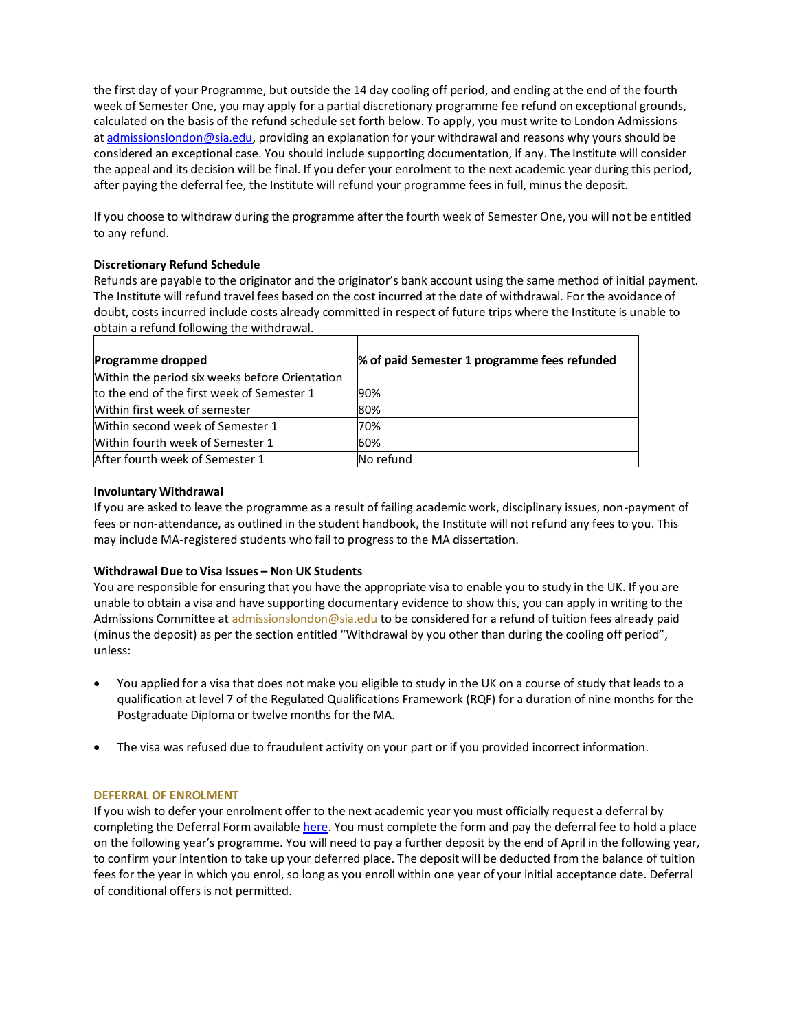the first day of your Programme, but outside the 14 day cooling off period, and ending at the end of the fourth week of Semester One, you may apply for a partial discretionary programme fee refund on exceptional grounds, calculated on the basis of the refund schedule set forth below. To apply, you must write to London Admissions at [admissionslondon@sia.edu,](mailto:admissionslondon@sia.edu) providing an explanation for your withdrawal and reasons why yours should be considered an exceptional case. You should include supporting documentation, if any. The Institute will consider the appeal and its decision will be final. If you defer your enrolment to the next academic year during this period, after paying the deferral fee, the Institute will refund your programme fees in full, minus the deposit.

If you choose to withdraw during the programme after the fourth week of Semester One, you will not be entitled to any refund.

# **Discretionary Refund Schedule**

Refunds are payable to the originator and the originator's bank account using the same method of initial payment. The Institute will refund travel fees based on the cost incurred at the date of withdrawal. For the avoidance of doubt, costs incurred include costs already committed in respect of future trips where the Institute is unable to obtain a refund following the withdrawal.

| Programme dropped                              | % of paid Semester 1 programme fees refunded |
|------------------------------------------------|----------------------------------------------|
| Within the period six weeks before Orientation |                                              |
| to the end of the first week of Semester 1     | 90%                                          |
| Within first week of semester                  | 80%                                          |
| Within second week of Semester 1               | 70%                                          |
| Within fourth week of Semester 1               | 60%                                          |
| After fourth week of Semester 1                | No refund                                    |

# **Involuntary Withdrawal**

If you are asked to leave the programme as a result of failing academic work, disciplinary issues, non-payment of fees or non-attendance, as outlined in the student handbook, the Institute will not refund any fees to you. This may include MA-registered students who fail to progress to the MA dissertation.

# **Withdrawal Due to Visa Issues – Non UK Students**

You are responsible for ensuring that you have the appropriate visa to enable you to study in the UK. If you are unable to obtain a visa and have supporting documentary evidence to show this, you can apply in writing to the Admissions Committee at [admissionslondon@sia.edu](mailto:admissionslondon@sia.edu) to be considered for a refund of tuition fees already paid (minus the deposit) as per the section entitled "Withdrawal by you other than during the cooling off period", unless:

- You applied for a visa that does not make you eligible to study in the UK on a course of study that leads to a qualification at level 7 of the Regulated Qualifications Framework (RQF) for a duration of nine months for the Postgraduate Diploma or twelve months for the MA.
- The visa was refused due to fraudulent activity on your part or if you provided incorrect information.

# **DEFERRAL OF ENROLMENT**

If you wish to defer your enrolment offer to the next academic year you must officially request a deferral by completing the Deferral Form available [here.](https://www.cognitoforms.com/SIA7/_202223DeferralOfOfferForm) You must complete the form and pay the deferral fee to hold a place on the following year's programme. You will need to pay a further deposit by the end of April in the following year, to confirm your intention to take up your deferred place. The deposit will be deducted from the balance of tuition fees for the year in which you enrol, so long as you enroll within one year of your initial acceptance date. Deferral of conditional offers is not permitted.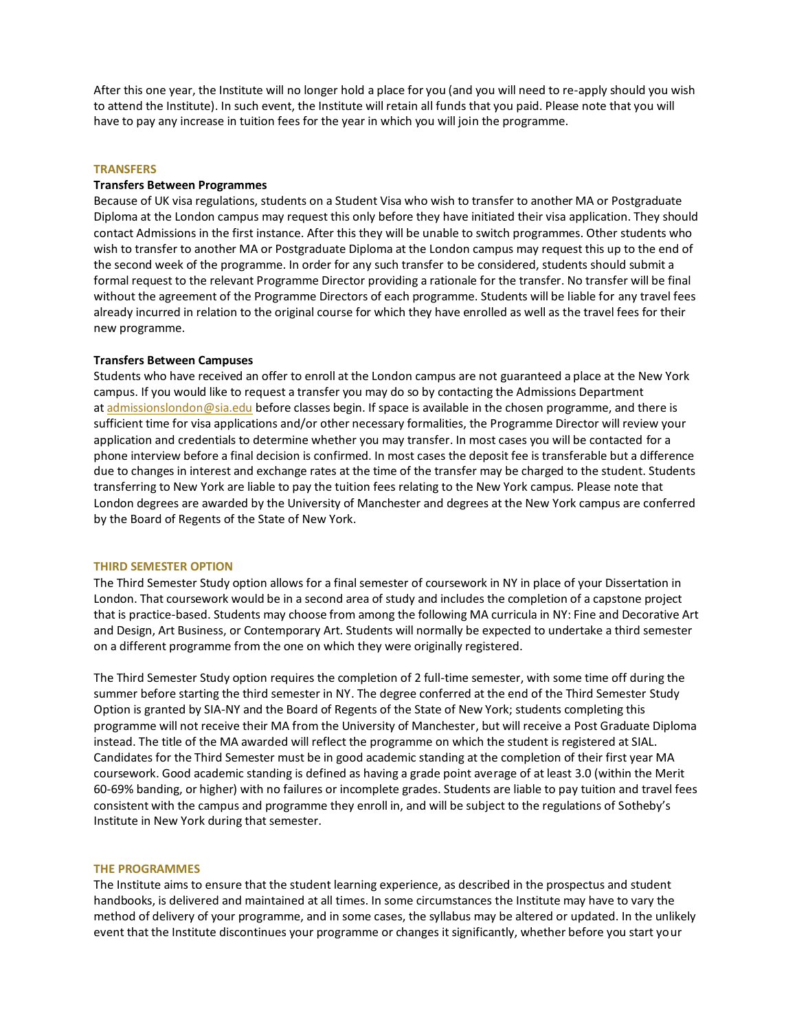After this one year, the Institute will no longer hold a place for you (and you will need to re-apply should you wish to attend the Institute). In such event, the Institute will retain all funds that you paid. Please note that you will have to pay any increase in tuition fees for the year in which you will join the programme.

#### **TRANSFERS**

#### **Transfers Between Programmes**

Because of UK visa regulations, students on a Student Visa who wish to transfer to another MA or Postgraduate Diploma at the London campus may request this only before they have initiated their visa application. They should contact Admissions in the first instance. After this they will be unable to switch programmes. Other students who wish to transfer to another MA or Postgraduate Diploma at the London campus may request this up to the end of the second week of the programme. In order for any such transfer to be considered, students should submit a formal request to the relevant Programme Director providing a rationale for the transfer. No transfer will be final without the agreement of the Programme Directors of each programme. Students will be liable for any travel fees already incurred in relation to the original course for which they have enrolled as well as the travel fees for their new programme.

#### **Transfers Between Campuses**

Students who have received an offer to enroll at the London campus are not guaranteed a place at the New York campus. If you would like to request a transfer you may do so by contacting the Admissions Department at [admissionslondon@sia.edu](mailto:admissionslondon@sia.edu) before classes begin. If space is available in the chosen programme, and there is sufficient time for visa applications and/or other necessary formalities, the Programme Director will review your application and credentials to determine whether you may transfer. In most cases you will be contacted for a phone interview before a final decision is confirmed. In most cases the deposit fee is transferable but a difference due to changes in interest and exchange rates at the time of the transfer may be charged to the student. Students transferring to New York are liable to pay the tuition fees relating to the New York campus. Please note that London degrees are awarded by the University of Manchester and degrees at the New York campus are conferred by the Board of Regents of the State of New York.

#### **THIRD SEMESTER OPTION**

The Third Semester Study option allows for a final semester of coursework in NY in place of your Dissertation in London. That coursework would be in a second area of study and includes the completion of a capstone project that is practice-based. Students may choose from among the following MA curricula in NY: Fine and Decorative Art and Design, Art Business, or Contemporary Art. Students will normally be expected to undertake a third semester on a different programme from the one on which they were originally registered.

The Third Semester Study option requires the completion of 2 full-time semester, with some time off during the summer before starting the third semester in NY. The degree conferred at the end of the Third Semester Study Option is granted by SIA-NY and the Board of Regents of the State of New York; students completing this programme will not receive their MA from the University of Manchester, but will receive a Post Graduate Diploma instead. The title of the MA awarded will reflect the programme on which the student is registered at SIAL. Candidates for the Third Semester must be in good academic standing at the completion of their first year MA coursework. Good academic standing is defined as having a grade point average of at least 3.0 (within the Merit 60-69% banding, or higher) with no failures or incomplete grades. Students are liable to pay tuition and travel fees consistent with the campus and programme they enroll in, and will be subject to the regulations of Sotheby's Institute in New York during that semester.

#### **THE PROGRAMMES**

The Institute aims to ensure that the student learning experience, as described in the prospectus and student handbooks, is delivered and maintained at all times. In some circumstances the Institute may have to vary the method of delivery of your programme, and in some cases, the syllabus may be altered or updated. In the unlikely event that the Institute discontinues your programme or changes it significantly, whether before you start your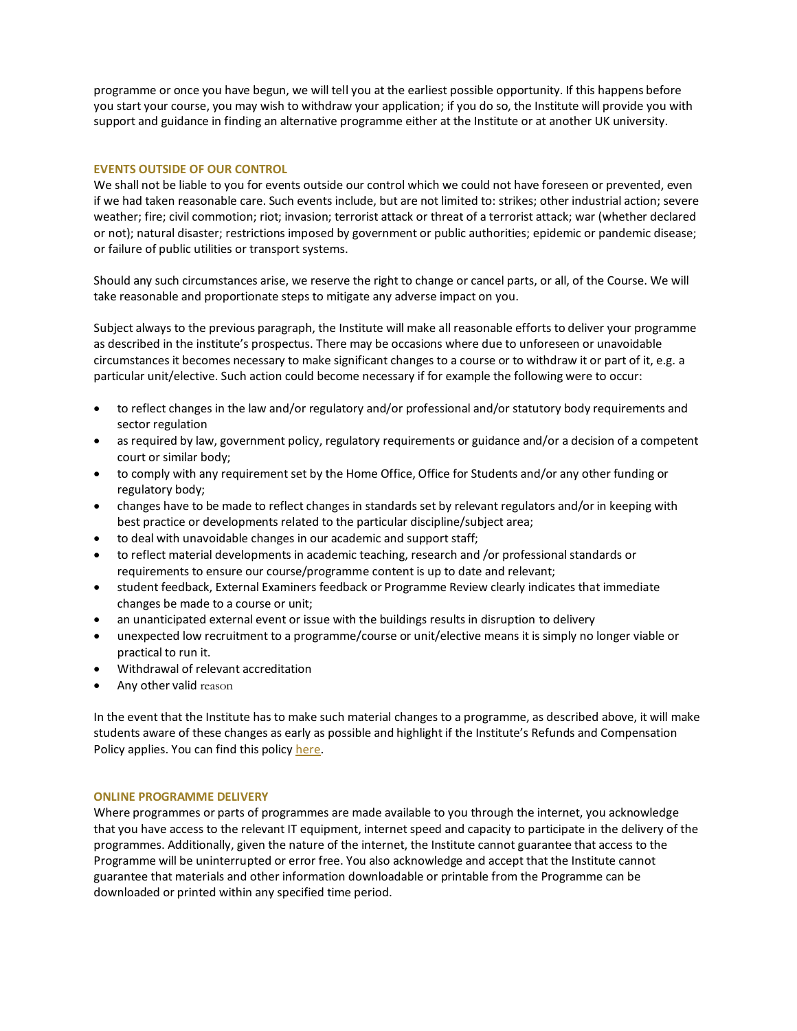programme or once you have begun, we will tell you at the earliest possible opportunity. If this happens before you start your course, you may wish to withdraw your application; if you do so, the Institute will provide you with support and guidance in finding an alternative programme either at the Institute or at another UK university.

## **EVENTS OUTSIDE OF OUR CONTROL**

We shall not be liable to you for events outside our control which we could not have foreseen or prevented, even if we had taken reasonable care. Such events include, but are not limited to: strikes; other industrial action; severe weather; fire; civil commotion; riot; invasion; terrorist attack or threat of a terrorist attack; war (whether declared or not); natural disaster; restrictions imposed by government or public authorities; epidemic or pandemic disease; or failure of public utilities or transport systems.

Should any such circumstances arise, we reserve the right to change or cancel parts, or all, of the Course. We will take reasonable and proportionate steps to mitigate any adverse impact on you.

Subject always to the previous paragraph, the Institute will make all reasonable efforts to deliver your programme as described in the institute's prospectus. There may be occasions where due to unforeseen or unavoidable circumstances it becomes necessary to make significant changes to a course or to withdraw it or part of it, e.g. a particular unit/elective. Such action could become necessary if for example the following were to occur:

- to reflect changes in the law and/or regulatory and/or professional and/or statutory body requirements and sector regulation
- as required by law, government policy, regulatory requirements or guidance and/or a decision of a competent court or similar body;
- to comply with any requirement set by the Home Office, Office for Students and/or any other funding or regulatory body;
- changes have to be made to reflect changes in standards set by relevant regulators and/or in keeping with best practice or developments related to the particular discipline/subject area;
- to deal with unavoidable changes in our academic and support staff;
- to reflect material developments in academic teaching, research and /or professional standards or requirements to ensure our course/programme content is up to date and relevant;
- student feedback, External Examiners feedback or Programme Review clearly indicates that immediate changes be made to a course or unit;
- an unanticipated external event or issue with the buildings results in disruption to delivery
- unexpected low recruitment to a programme/course or unit/elective means it is simply no longer viable or practical to run it.
- Withdrawal of relevant accreditation
- Any other valid reason

In the event that the Institute has to make such material changes to a programme, as described above, it will make students aware of these changes as early as possible and highlight if the Institute's Refunds and Compensation Policy applies. You can find this policy [here.](https://www.sothebysinstitute.com/wp-content/uploads/2020/06/SIAL-Refunds-and-Compensation-Policy-2020-21.pdf)

## **ONLINE PROGRAMME DELIVERY**

Where programmes or parts of programmes are made available to you through the internet, you acknowledge that you have access to the relevant IT equipment, internet speed and capacity to participate in the delivery of the programmes. Additionally, given the nature of the internet, the Institute cannot guarantee that access to the Programme will be uninterrupted or error free. You also acknowledge and accept that the Institute cannot guarantee that materials and other information downloadable or printable from the Programme can be downloaded or printed within any specified time period.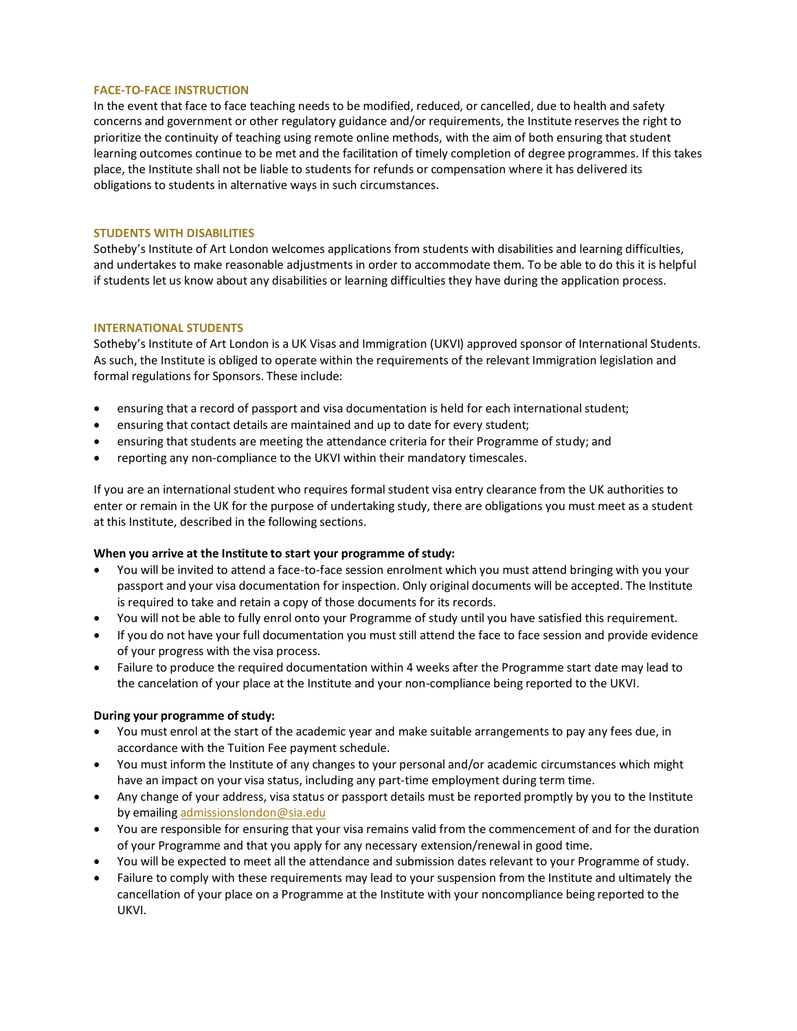## **FACE-TO-FACE INSTRUCTION**

In the event that face to face teaching needs to be modified, reduced, or cancelled, due to health and safety concerns and government or other regulatory guidance and/or requirements, the Institute reserves the right to prioritize the continuity of teaching using remote online methods, with the aim of both ensuring that student learning outcomes continue to be met and the facilitation of timely completion of degree programmes. If this takes place, the Institute shall not be liable to students for refunds or compensation where it has delivered its obligations to students in alternative ways in such circumstances.

## **STUDENTS WITH DISABILITIES**

Sotheby's Institute of Art London welcomes applications from students with disabilities and learning difficulties, and undertakes to make reasonable adjustments in order to accommodate them. To be able to do this it is helpful if students let us know about any disabilities or learning difficulties they have during the application process.

## **INTERNATIONAL STUDENTS**

Sotheby's Institute of Art London is a UK Visas and Immigration (UKVI) approved sponsor of International Students. As such, the Institute is obliged to operate within the requirements of the relevant Immigration legislation and formal regulations for Sponsors. These include:

- ensuring that a record of passport and visa documentation is held for each international student;
- ensuring that contact details are maintained and up to date for every student;
- ensuring that students are meeting the attendance criteria for their Programme of study; and
- reporting any non-compliance to the UKVI within their mandatory timescales.

If you are an international student who requires formal student visa entry clearance from the UK authorities to enter or remain in the UK for the purpose of undertaking study, there are obligations you must meet as a student at this Institute, described in the following sections.

## **When you arrive at the Institute to start your programme of study:**

- You will be invited to attend a face-to-face session enrolment which you must attend bringing with you your passport and your visa documentation for inspection. Only original documents will be accepted. The Institute is required to take and retain a copy of those documents for its records.
- You will not be able to fully enrol onto your Programme of study until you have satisfied this requirement.
- If you do not have your full documentation you must still attend the face to face session and provide evidence of your progress with the visa process.
- Failure to produce the required documentation within 4 weeks after the Programme start date may lead to the cancelation of your place at the Institute and your non-compliance being reported to the UKVI.

## **During your programme of study:**

- You must enrol at the start of the academic year and make suitable arrangements to pay any fees due, in accordance with the Tuition Fee payment schedule.
- You must inform the Institute of any changes to your personal and/or academic circumstances which might have an impact on your visa status, including any part-time employment during term time.
- Any change of your address, visa status or passport details must be reported promptly by you to the Institute by emailing [admissionslondon@sia.edu](mailto:admissionslondon@sia.edu)
- You are responsible for ensuring that your visa remains valid from the commencement of and for the duration of your Programme and that you apply for any necessary extension/renewal in good time.
- You will be expected to meet all the attendance and submission dates relevant to your Programme of study.
- Failure to comply with these requirements may lead to your suspension from the Institute and ultimately the cancellation of your place on a Programme at the Institute with your noncompliance being reported to the UKVI.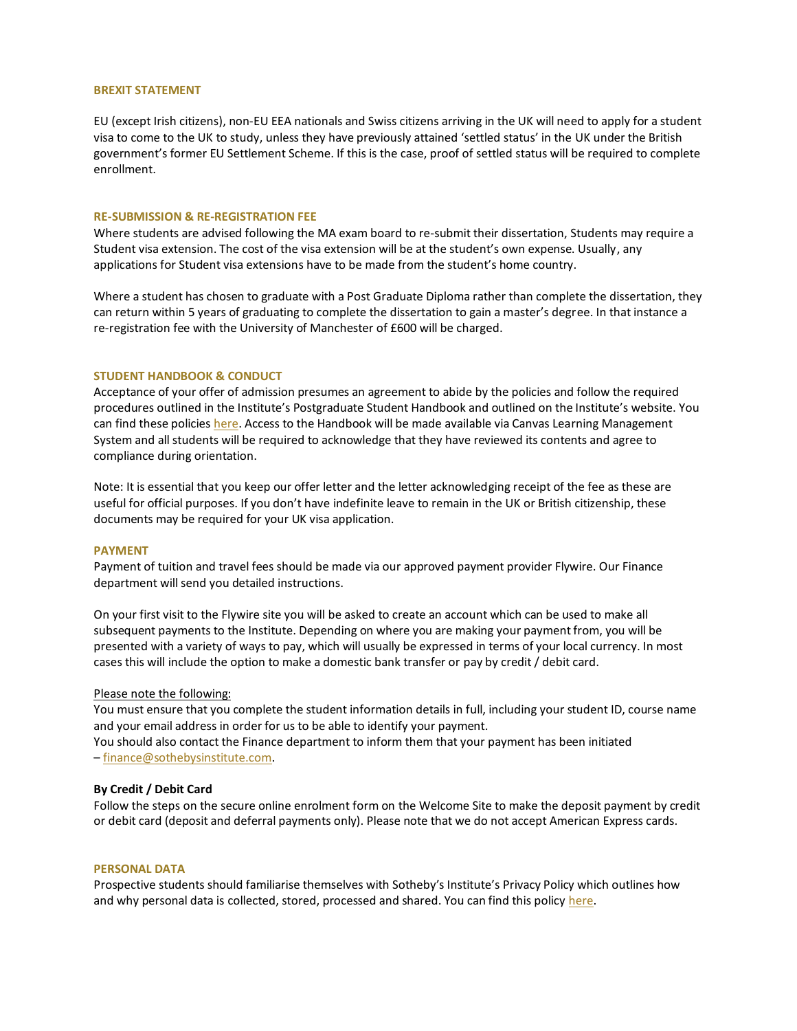#### **BREXIT STATEMENT**

EU (except Irish citizens), non-EU EEA nationals and Swiss citizens arriving in the UK will need to apply for a student visa to come to the UK to study, unless they have previously attained 'settled status' in the UK under the British government's former EU Settlement Scheme. If this is the case, proof of settled status will be required to complete enrollment.

#### **RE-SUBMISSION & RE-REGISTRATION FEE**

Where students are advised following the MA exam board to re-submit their dissertation, Students may require a Student visa extension. The cost of the visa extension will be at the student's own expense. Usually, any applications for Student visa extensions have to be made from the student's home country.

Where a student has chosen to graduate with a Post Graduate Diploma rather than complete the dissertation, they can return within 5 years of graduating to complete the dissertation to gain a master's degree. In that instance a re-registration fee with the University of Manchester of £600 will be charged.

#### **STUDENT HANDBOOK & CONDUCT**

Acceptance of your offer of admission presumes an agreement to abide by the policies and follow the required procedures outlined in the Institute's Postgraduate Student Handbook and outlined on the Institute's website. You can find these policies [here.](https://www.sothebysinstitute.com/campus/student-policies/) Access to the Handbook will be made available via Canvas Learning Management System and all students will be required to acknowledge that they have reviewed its contents and agree to compliance during orientation.

Note: It is essential that you keep our offer letter and the letter acknowledging receipt of the fee as these are useful for official purposes. If you don't have indefinite leave to remain in the UK or British citizenship, these documents may be required for your UK visa application.

#### **PAYMENT**

Payment of tuition and travel fees should be made via our approved payment provider Flywire. Our Finance department will send you detailed instructions.

On your first visit to the Flywire site you will be asked to create an account which can be used to make all subsequent payments to the Institute. Depending on where you are making your payment from, you will be presented with a variety of ways to pay, which will usually be expressed in terms of your local currency. In most cases this will include the option to make a domestic bank transfer or pay by credit / debit card.

## Please note the following:

You must ensure that you complete the student information details in full, including your student ID, course name and your email address in order for us to be able to identify your payment. You should also contact the Finance department to inform them that your payment has been initiated – [finance@sothebysinstitute.com.](mailto:finance@sothebysinstitute.com)

#### **By Credit / Debit Card**

Follow the steps on the secure online enrolment form on the Welcome Site to make the deposit payment by credit or debit card (deposit and deferral payments only). Please note that we do not accept American Express cards.

#### **PERSONAL DATA**

Prospective students should familiarise themselves with Sotheby's Institute's Privacy Policy which outlines how and why personal data is collected, stored, processed and shared. You can find this policy [here.](https://www.sothebysinstitute.com/privacy-policy/)